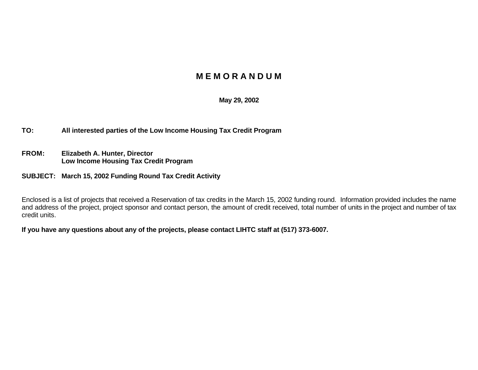## **M E M O R A N D U M**

## **May 29, 2002**

**TO: All interested parties of the Low Income Housing Tax Credit Program**

- **FROM: Elizabeth A. Hunter, Director Low Income Housing Tax Credit Program**
- **SUBJECT: March 15, 2002 Funding Round Tax Credit Activity**

Enclosed is a list of projects that received a Reservation of tax credits in the March 15, 2002 funding round. Information provided includes the name and address of the project, project sponsor and contact person, the amount of credit received, total number of units in the project and number of tax credit units.

**If you have any questions about any of the projects, please contact LIHTC staff at (517) 373-6007.**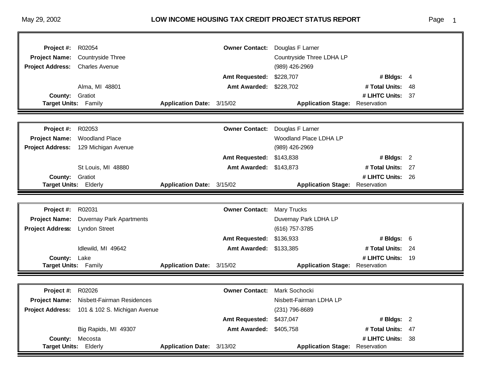| Project #:                              | R02054                                        |                           | <b>Owner Contact:</b>  | Douglas F Larner                      |                               |     |
|-----------------------------------------|-----------------------------------------------|---------------------------|------------------------|---------------------------------------|-------------------------------|-----|
| <b>Project Name:</b>                    | <b>Countryside Three</b>                      |                           |                        | Countryside Three LDHA LP             |                               |     |
| <b>Project Address:</b>                 | <b>Charles Avenue</b>                         |                           |                        | (989) 426-2969                        |                               |     |
|                                         |                                               |                           | <b>Amt Requested:</b>  | \$228,707                             | # Bldgs: $4$                  |     |
|                                         | Alma, MI 48801                                |                           | Amt Awarded: \$228,702 |                                       | # Total Units:                | 48  |
| <b>County:</b>                          | Gratiot                                       |                           |                        | <b>Application Stage: Reservation</b> | # LIHTC Units:                | -37 |
| <b>Target Units: Family</b>             |                                               | Application Date: 3/15/02 |                        |                                       |                               |     |
|                                         |                                               |                           |                        |                                       |                               |     |
| Project #:                              | R02053                                        |                           | <b>Owner Contact:</b>  | Douglas F Larner                      |                               |     |
| <b>Project Name:</b>                    | <b>Woodland Place</b>                         |                           |                        | Woodland Place LDHA LP                |                               |     |
|                                         | Project Address: 129 Michigan Avenue          |                           |                        | (989) 426-2969                        |                               |     |
|                                         |                                               |                           | <b>Amt Requested:</b>  | \$143,838                             | # Bldgs: $2$                  |     |
|                                         | St Louis, MI 48880                            |                           | Amt Awarded: \$143,873 |                                       | # Total Units:                | 27  |
| <b>County: Gratiot</b>                  |                                               |                           |                        |                                       | # LIHTC Units:                | 26  |
| <b>Target Units: Elderly</b>            |                                               | Application Date: 3/15/02 |                        | <b>Application Stage: Reservation</b> |                               |     |
|                                         |                                               |                           |                        |                                       |                               |     |
|                                         |                                               |                           |                        |                                       |                               |     |
| Project #:                              | R02031                                        |                           | <b>Owner Contact:</b>  | <b>Mary Trucks</b>                    |                               |     |
| <b>Project Name:</b>                    | Duvernay Park Apartments                      |                           |                        | Duvernay Park LDHA LP                 |                               |     |
| <b>Project Address:</b>                 | <b>Lyndon Street</b>                          |                           |                        | (616) 757-3785                        |                               |     |
|                                         |                                               |                           | <b>Amt Requested:</b>  | \$136,933                             | # Bldgs: $6$                  |     |
|                                         | Idlewild, MI 49642                            |                           | Amt Awarded: \$133,385 |                                       | # Total Units: 24             |     |
| <b>County:</b>                          | Lake                                          |                           |                        |                                       | # LIHTC Units:                | 19  |
| <b>Target Units: Family</b>             |                                               | Application Date: 3/15/02 |                        | <b>Application Stage:</b>             | Reservation                   |     |
|                                         |                                               |                           |                        |                                       |                               |     |
| Project #:                              | R02026                                        |                           | <b>Owner Contact:</b>  | Mark Sochocki                         |                               |     |
|                                         | Project Name: Nisbett-Fairman Residences      |                           |                        | Nisbett-Fairman LDHA LP               |                               |     |
|                                         | Project Address: 101 & 102 S. Michigan Avenue |                           |                        | (231) 796-8689                        |                               |     |
|                                         |                                               |                           | <b>Amt Requested:</b>  | \$437,047                             | # Bldgs: $2$                  |     |
|                                         | Big Rapids, MI 49307                          |                           | <b>Amt Awarded:</b>    | \$405,758                             | # Total Units: 47             |     |
| <b>County:</b><br>Target Units: Elderly | Mecosta                                       | Application Date: 3/13/02 |                        | <b>Application Stage:</b>             | # LIHTC Units:<br>Reservation | 38  |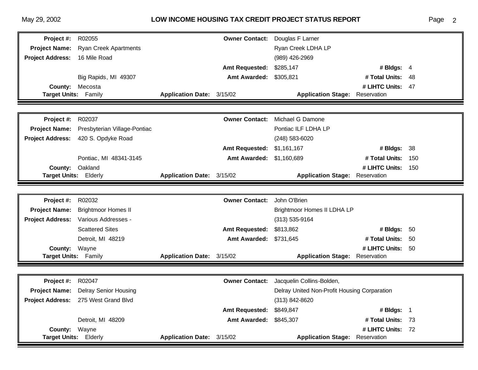## May 29, 2002 **LOW INCOME HOUSING TAX CREDIT PROJECT STATUS REPORT**

| aae |  |
|-----|--|
|     |  |

| Project #:              | R02055                              |                           | <b>Owner Contact:</b> | Douglas F Larner                             |                   |     |
|-------------------------|-------------------------------------|---------------------------|-----------------------|----------------------------------------------|-------------------|-----|
|                         | Project Name: Ryan Creek Apartments |                           |                       | Ryan Creek LDHA LP                           |                   |     |
| <b>Project Address:</b> | 16 Mile Road                        |                           |                       | (989) 426-2969                               |                   |     |
|                         |                                     |                           | <b>Amt Requested:</b> | \$285,147                                    | # Bldgs: 4        |     |
|                         | Big Rapids, MI 49307                |                           | <b>Amt Awarded:</b>   | \$305,821                                    | # Total Units:    | 48  |
| County:                 | Mecosta                             |                           |                       |                                              | # LIHTC Units: 47 |     |
| Target Units: Family    |                                     | Application Date: 3/15/02 |                       | <b>Application Stage:</b>                    | Reservation       |     |
|                         |                                     |                           |                       |                                              |                   |     |
| Project #:              | R02037                              |                           | <b>Owner Contact:</b> | Michael G Damone                             |                   |     |
| <b>Project Name:</b>    | Presbyterian Village-Pontiac        |                           |                       | Pontiac ILF LDHA LP                          |                   |     |
| <b>Project Address:</b> | 420 S. Opdyke Road                  |                           |                       | (248) 583-6020                               |                   |     |
|                         |                                     |                           | <b>Amt Requested:</b> | \$1,161,167                                  | # Bldgs: $38$     |     |
|                         | Pontiac, MI 48341-3145              |                           | <b>Amt Awarded:</b>   | \$1,160,689                                  | # Total Units:    | 150 |
| <b>County:</b>          | Oakland                             |                           |                       |                                              | # LIHTC Units:    | 150 |
| Target Units: Elderly   |                                     | Application Date: 3/15/02 |                       | <b>Application Stage:</b>                    | Reservation       |     |
|                         |                                     |                           |                       |                                              |                   |     |
| Project #:              | R02032                              |                           | <b>Owner Contact:</b> | John O'Brien                                 |                   |     |
| <b>Project Name:</b>    | <b>Brightmoor Homes II</b>          |                           |                       | Brightmoor Homes II LDHA LP                  |                   |     |
| <b>Project Address:</b> | Various Addresses -                 |                           |                       | $(313) 535 - 9164$                           |                   |     |
|                         | <b>Scattered Sites</b>              |                           | <b>Amt Requested:</b> | \$813,862                                    | # Bldgs: 50       |     |
|                         | Detroit, MI 48219                   |                           | <b>Amt Awarded:</b>   | \$731,645                                    | # Total Units:    | -50 |
| County:                 | Wayne                               |                           |                       |                                              | # LIHTC Units:    | 50  |
| Target Units: Family    |                                     | Application Date: 3/15/02 |                       | <b>Application Stage:</b>                    | Reservation       |     |
|                         |                                     |                           |                       |                                              |                   |     |
| Project #:              | R02047                              |                           | <b>Owner Contact:</b> | Jacquelin Collins-Bolden,                    |                   |     |
| <b>Project Name:</b>    | <b>Delray Senior Housing</b>        |                           |                       | Delray United Non-Profit Housing Corparation |                   |     |
| <b>Project Address:</b> | 275 West Grand Blvd                 |                           |                       | (313) 842-8620                               |                   |     |
|                         |                                     |                           | <b>Amt Requested:</b> | \$849,847                                    | # Bldgs: 1        |     |
|                         | Detroit, MI 48209                   |                           | <b>Amt Awarded:</b>   | \$845,307                                    | # Total Units: 73 |     |
| <b>County:</b>          | Wayne                               |                           |                       |                                              | # LIHTC Units: 72 |     |
| Target Units: Elderly   |                                     | Application Date: 3/15/02 |                       | <b>Application Stage:</b>                    | Reservation       |     |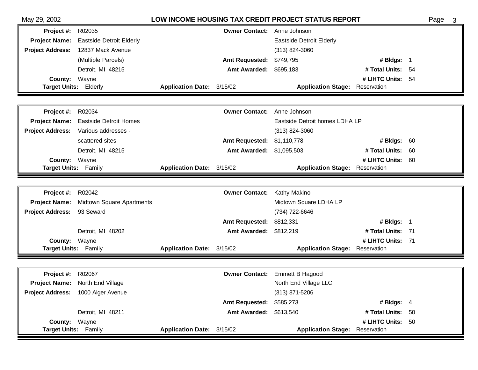| May 29, 2002                                 |                                         |                           |                                    | LOW INCOME HOUSING TAX CREDIT PROJECT STATUS REPORT |                                  |    | Page<br>3 |
|----------------------------------------------|-----------------------------------------|---------------------------|------------------------------------|-----------------------------------------------------|----------------------------------|----|-----------|
| Project #:                                   | R02035                                  |                           | <b>Owner Contact:</b> Anne Johnson |                                                     |                                  |    |           |
|                                              | Project Name: Eastside Detroit Elderly  |                           |                                    | <b>Eastside Detroit Elderly</b>                     |                                  |    |           |
| <b>Project Address:</b>                      | 12837 Mack Avenue                       |                           |                                    | (313) 824-3060                                      |                                  |    |           |
|                                              | (Multiple Parcels)                      |                           | <b>Amt Requested:</b>              | \$749,795                                           | # Bldgs: 1                       |    |           |
|                                              | Detroit, MI 48215                       |                           | <b>Amt Awarded:</b>                | \$695,183                                           | # Total Units: 54                |    |           |
| <b>County:</b>                               | Wayne                                   |                           |                                    |                                                     | # LIHTC Units: 54                |    |           |
| Target Units: Elderly                        |                                         | Application Date: 3/15/02 |                                    | <b>Application Stage:</b>                           | Reservation                      |    |           |
|                                              |                                         |                           |                                    |                                                     |                                  |    |           |
| Project #:                                   | R02034                                  |                           | <b>Owner Contact:</b>              | Anne Johnson                                        |                                  |    |           |
| <b>Project Name:</b>                         | <b>Eastside Detroit Homes</b>           |                           |                                    | Eastside Detroit homes LDHA LP                      |                                  |    |           |
| <b>Project Address:</b>                      | Various addresses -                     |                           |                                    | $(313)$ 824-3060                                    |                                  |    |           |
|                                              | scattered sites                         |                           | <b>Amt Requested:</b>              | \$1,110,778                                         | # Bldgs: 60                      |    |           |
|                                              | Detroit, MI 48215                       |                           | <b>Amt Awarded:</b>                | \$1,095,503                                         | # Total Units:                   | 60 |           |
| <b>County:</b>                               | Wayne                                   |                           |                                    |                                                     | # LIHTC Units:                   | 60 |           |
| Target Units: Family                         |                                         | Application Date: 3/15/02 |                                    | <b>Application Stage:</b>                           | Reservation                      |    |           |
|                                              |                                         |                           |                                    |                                                     |                                  |    |           |
| <b>Project #: R02042</b>                     |                                         |                           | <b>Owner Contact:</b>              | Kathy Makino                                        |                                  |    |           |
|                                              | Project Name: Midtown Square Apartments |                           |                                    | Midtown Square LDHA LP                              |                                  |    |           |
| <b>Project Address:</b>                      | 93 Seward                               |                           |                                    | (734) 722-6646                                      |                                  |    |           |
|                                              |                                         |                           |                                    |                                                     |                                  |    |           |
|                                              |                                         |                           | <b>Amt Requested:</b>              | \$812,331                                           | # Bldgs: 1                       |    |           |
|                                              | Detroit, MI 48202                       |                           | <b>Amt Awarded:</b>                | \$812,219                                           | # Total Units: 71                |    |           |
| County:                                      | Wayne                                   |                           |                                    |                                                     | # LIHTC Units: 71                |    |           |
| <b>Target Units: Family</b>                  |                                         | Application Date: 3/15/02 |                                    | <b>Application Stage:</b>                           | Reservation                      |    |           |
|                                              |                                         |                           |                                    |                                                     |                                  |    |           |
| Project #:                                   | R02067                                  |                           | <b>Owner Contact:</b>              | <b>Emmett B Hagood</b>                              |                                  |    |           |
|                                              | <b>Project Name:</b> North End Village  |                           |                                    | North End Village LLC                               |                                  |    |           |
|                                              | Project Address: 1000 Alger Avenue      |                           |                                    | (313) 871-5206                                      |                                  |    |           |
|                                              |                                         |                           | <b>Amt Requested:</b>              | \$585,273                                           | # Bldgs: $4$                     |    |           |
|                                              | Detroit, MI 48211                       |                           | <b>Amt Awarded:</b>                | \$613,540                                           | # Total Units: 50                |    |           |
| <b>County: Wayne</b><br>Target Units: Family |                                         | Application Date: 3/15/02 |                                    | <b>Application Stage:</b>                           | # LIHTC Units: 50<br>Reservation |    |           |